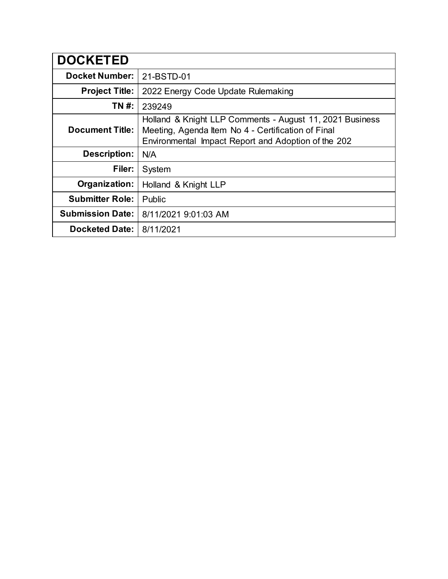| <b>DOCKETED</b>         |                                                                                                                                                                       |
|-------------------------|-----------------------------------------------------------------------------------------------------------------------------------------------------------------------|
| <b>Docket Number:</b>   | 21-BSTD-01                                                                                                                                                            |
| <b>Project Title:</b>   | 2022 Energy Code Update Rulemaking                                                                                                                                    |
| TN #:                   | 239249                                                                                                                                                                |
| <b>Document Title:</b>  | Holland & Knight LLP Comments - August 11, 2021 Business<br>Meeting, Agenda Item No 4 - Certification of Final<br>Environmental Impact Report and Adoption of the 202 |
| <b>Description:</b>     | N/A                                                                                                                                                                   |
| Filer:                  | System                                                                                                                                                                |
| Organization:           | Holland & Knight LLP                                                                                                                                                  |
| <b>Submitter Role:</b>  | Public                                                                                                                                                                |
| <b>Submission Date:</b> | 8/11/2021 9:01:03 AM                                                                                                                                                  |
| <b>Docketed Date:</b>   | 8/11/2021                                                                                                                                                             |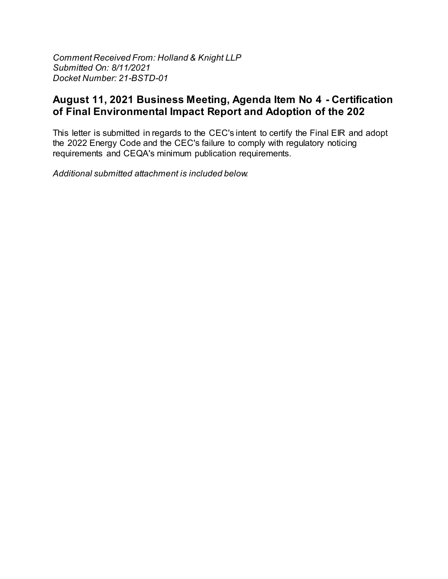Comment Received From: Holland & Knight LLP Submitted On: 8/11/2021 Docket Number: 21-BSTD-01

## August 11, 2021 Business Meeting, Agenda Item No 4 - Certification of Final Environmental Impact Report and Adoption of the 202

This letter is submitted in regards to the CEC's intent to certify the Final EIR and adopt the 2022 Energy Code and the CEC's failure to comply with regulatory noticing requirements and CEQA's minimum publication requirements.

Additional submitted attachment is included below.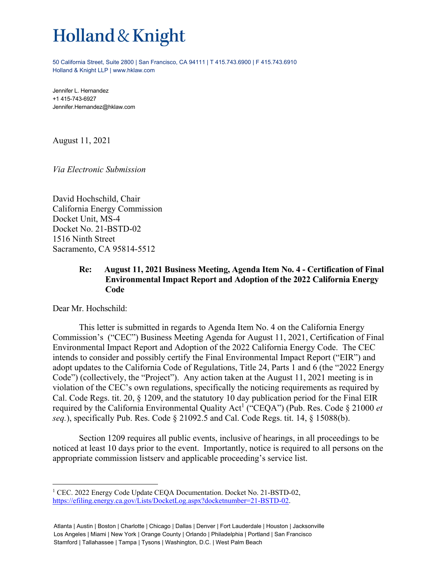## Holland & Knight

50 California Street, Suite 2800 | San Francisco, CA 94111 | T 415.743.6900 | F 415.743.6910 Holland & Knight LLP | www.hklaw.com

Jennifer L. Hernandez +1 415-743-6927 Jennifer.Hernandez@hklaw.com

August 11, 2021

*Via Electronic Submission* 

David Hochschild, Chair California Energy Commission Docket Unit, MS-4 Docket No. 21-BSTD-02 1516 Ninth Street Sacramento, CA 95814-5512

## **Re: August 11, 2021 Business Meeting, Agenda Item No. 4 - Certification of Final Environmental Impact Report and Adoption of the 2022 California Energy Code**

Dear Mr. Hochschild:

1

This letter is submitted in regards to Agenda Item No. 4 on the California Energy Commission's ("CEC") Business Meeting Agenda for August 11, 2021, Certification of Final Environmental Impact Report and Adoption of the 2022 California Energy Code. The CEC intends to consider and possibly certify the Final Environmental Impact Report ("EIR") and adopt updates to the California Code of Regulations, Title 24, Parts 1 and 6 (the "2022 Energy Code") (collectively, the "Project"). Any action taken at the August 11, 2021 meeting is in violation of the CEC's own regulations, specifically the noticing requirements as required by Cal. Code Regs. tit. 20, § 1209, and the statutory 10 day publication period for the Final EIR required by the California Environmental Quality Act<sup>1</sup> ("CEQA") (Pub. Res. Code § 21000 *et seq.*), specifically Pub. Res. Code § 21092.5 and Cal. Code Regs. tit. 14, § 15088(b).

Section 1209 requires all public events, inclusive of hearings, in all proceedings to be noticed at least 10 days prior to the event. Importantly, notice is required to all persons on the appropriate commission listserv and applicable proceeding's service list.

<sup>&</sup>lt;sup>1</sup> CEC. 2022 Energy Code Update CEQA Documentation. Docket No. 21-BSTD-02, https://efiling.energy.ca.gov/Lists/DocketLog.aspx?docketnumber=21-BSTD-02.

Atlanta | Austin | Boston | Charlotte | Chicago | Dallas | Denver | Fort Lauderdale | Houston | Jacksonville Los Angeles | Miami | New York | Orange County | Orlando | Philadelphia | Portland | San Francisco Stamford | Tallahassee | Tampa | Tysons | Washington, D.C. | West Palm Beach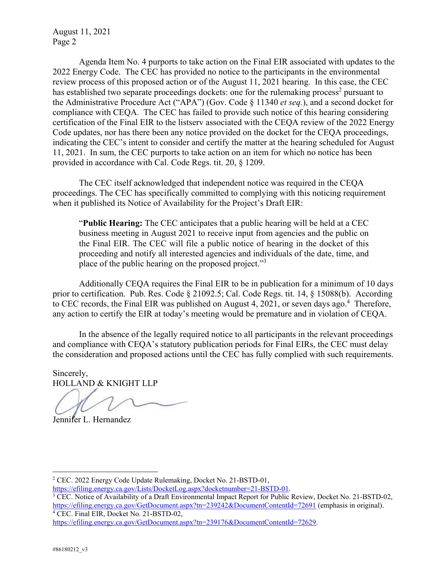August 11, 2021 Page 2

Agenda Item No. 4 purports to take action on the Final EIR associated with updates to the 2022 Energy Code. The CEC has provided no notice to the participants in the environmental review process of this proposed action or of the August 11, 2021 hearing. In this case, the CEC has established two separate proceedings dockets: one for the rulemaking process<sup>2</sup> pursuant to the Administrative Procedure Act ("APA") (Gov. Code § 11340 *et seq.*), and a second docket for compliance with CEQA. The CEC has failed to provide such notice of this hearing considering certification of the Final EIR to the listserv associated with the CEQA review of the 2022 Energy Code updates, nor has there been any notice provided on the docket for the CEQA proceedings, indicating the CEC's intent to consider and certify the matter at the hearing scheduled for August 11, 2021. In sum, the CEC purports to take action on an item for which no notice has been provided in accordance with Cal. Code Regs. tit. 20, § 1209.

The CEC itself acknowledged that independent notice was required in the CEQA proceedings. The CEC has specifically committed to complying with this noticing requirement when it published its Notice of Availability for the Project's Draft EIR:

"**Public Hearing:** The CEC anticipates that a public hearing will be held at a CEC business meeting in August 2021 to receive input from agencies and the public on the Final EIR. The CEC will file a public notice of hearing in the docket of this proceeding and notify all interested agencies and individuals of the date, time, and place of the public hearing on the proposed project."3

Additionally CEQA requires the Final EIR to be in publication for a minimum of 10 days prior to certification. Pub. Res. Code § 21092.5; Cal. Code Regs. tit. 14, § 15088(b). According to CEC records, the Final EIR was published on August 4, 2021, or seven days ago.<sup>4</sup> Therefore, any action to certify the EIR at today's meeting would be premature and in violation of CEQA.

In the absence of the legally required notice to all participants in the relevant proceedings and compliance with CEQA's statutory publication periods for Final EIRs, the CEC must delay the consideration and proposed actions until the CEC has fully complied with such requirements.

Sincerely, HOLLAND & KNIGHT LLP

Jennifer L. Hernandez

https://efiling.energy.ca.gov/Lists/DocketLog.aspx?docketnumber=21-BSTD-01. 3

CEC. Final EIR, Docket No. 21-BSTD-02,

https://efiling.energy.ca.gov/GetDocument.aspx?tn=239176&DocumentContentId=72629.

<u>.</u>

<sup>&</sup>lt;sup>2</sup> CEC. 2022 Energy Code Update Rulemaking, Docket No. 21-BSTD-01,

<sup>&</sup>lt;sup>3</sup> CEC. Notice of Availability of a Draft Environmental Impact Report for Public Review, Docket No. 21-BSTD-02, https://efiling.energy.ca.gov/GetDocument.aspx?tn=239242&DocumentContentId=72691 (emphasis in original).